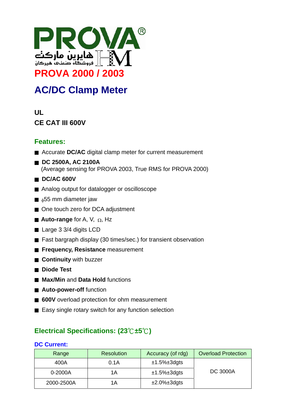

# **AC/DC Clamp Meter**

# **UL CE CAT III 600V**

# **Features:**

- Accurate DC/AC digital clamp meter for current measurement
- ■ **DC 2500A, AC 2100A**  (Average sensing for PROVA 2003, True RMS for PROVA 2000)
- DC/AC 600V
- Analog output for datalogger or oscilloscope
- $\blacksquare$   $_{\phi}$ 55 mm diameter jaw
- One touch zero for DCA adjustment
- **Auto-range** for A, V, <sub>Ω</sub>, Hz
- Large 3 3/4 digits LCD
- Fast bargraph display (30 times/sec.) for transient observation
- **Frequency, Resistance** measurement
- **Continuity** with buzzer
- **Diode Test**
- **Max/Min** and **Data Hold** functions
- Auto-power-off function
- **600V** overload protection for ohm measurement
- Easy single rotary switch for any function selection

# **Electrical Specifications: (23**℃**±5**℃**)**

#### **DC Current:**

| Range      | <b>Resolution</b> | Accuracy (of rdg)      | <b>Overload Protection</b> |
|------------|-------------------|------------------------|----------------------------|
| 400A       | 0.1A              | $±1.5\%±3dgts$         |                            |
| 0-2000A    | 1Α                | $±1.5\%±3dgts$         | <b>DC 3000A</b>            |
| 2000-2500A | 1Α                | $\pm 2.0\% \pm 3$ dgts |                            |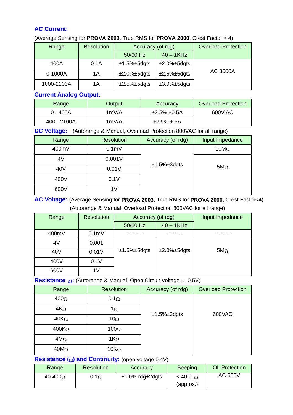### **AC Current:**

#### (Average Sensing for **PROVA 2003**, True RMS for **PROVA 2000**, Crest Factor < 4)

| Range      | <b>Resolution</b> | Accuracy (of rdg) |                        | <b>Overload Protection</b> |
|------------|-------------------|-------------------|------------------------|----------------------------|
|            |                   | 50/60 Hz          | $40 - 1$ KHz           |                            |
| 400A       | 0.1A              | $±1.5\%±5dqts$    | $\pm 2.0\% \pm 5$ dgts |                            |
| 0-1000A    | 1Α                | $±2.0\%±5dqts$    | $±2.5\%±5dqts$         | <b>AC 3000A</b>            |
| 1000-2100A | 1Α                | $±2.5\%±5dqts$    | $\pm 3.0\% \pm 5$ dgts |                            |

### **Current Analog Output:**

| Range       | Output | Accuracy          | <b>Overload Protection</b> |
|-------------|--------|-------------------|----------------------------|
| $0 - 400A$  | 1mV/A  | $±2.5\% \pm 0.5A$ | 600V AC                    |
| 400 - 2100A | 1mV/A  | $±2.5\% \pm 5A$   |                            |

#### **DC Voltage:** (Autorange & Manual, Overload Protection 800VAC for all range)

| Range | <b>Resolution</b> | Accuracy (of rdg) | Input Impedance |
|-------|-------------------|-------------------|-----------------|
| 400mV | 0.1 <sub>m</sub>  |                   | $10M\Omega$     |
| 4V    | 0.001V            |                   |                 |
| 40V   | 0.01V             | $±1.5\%±3dgts$    | $5M\Omega$      |
| 400V  | 0.1V              |                   |                 |
| 600V  | 1V                |                   |                 |

## **AC Voltage:** (Average Sensing for **PROVA 2003**, True RMS for **PROVA 2000**, Crest Factor<4) (Autorange & Manual, Overload Protection 800VAC for all range)

| Range           | <b>Resolution</b> | Accuracy (of rdg) |                        | Input Impedance |
|-----------------|-------------------|-------------------|------------------------|-----------------|
|                 |                   | 50/60 Hz          | $40 - 1$ KHz           |                 |
| 400mV           | 0.1 <sub>m</sub>  |                   |                        |                 |
| 4V              | 0.001             |                   |                        |                 |
| 40 <sub>V</sub> | 0.01V             | $±1.5\%±5dgts$    | $\pm 2.0\% \pm 5$ dgts | $5M\Omega$      |
| 400V            | 0.1V              |                   |                        |                 |
| 600V            | 1V                |                   |                        |                 |

#### **Resistance** Ω**:** (Autorange & Manual, Open Circuit Voltage ≤ 0.5V)

| Range                     | <b>Resolution</b> | Accuracy (of rdg) | <b>Overload Protection</b> |
|---------------------------|-------------------|-------------------|----------------------------|
| 400 $\Omega$              | $0.1\Omega$       |                   |                            |
| $4K_{\Omega}$             | $1\Omega$         |                   | 600VAC                     |
| $40K_{\Omega}$            | 10 $\Omega$       | $±1.5\%±3dgts$    |                            |
| 400 $\mathsf{K}_{\Omega}$ | 100 $\Omega$      |                   |                            |
| $4M\Omega$                | $1K_{\Omega}$     |                   |                            |
| 40 $\mathsf{M}\Omega$     | 10 $K_{\Omega}$   |                   |                            |

### **Resistance (**Ω**) and Continuity:** (open voltage 0.4V)

| Range           | <b>Resolution</b> | Accuracy               | <b>Beeping</b>  | <b>OL Protection</b> |
|-----------------|-------------------|------------------------|-----------------|----------------------|
| 40-400 $\Omega$ | $0.1\Omega$       | $±1.0\%$ rdg $±2$ dgts | $< 40.0 \Omega$ | <b>AC 600V</b>       |
|                 |                   |                        | (approx.)       |                      |